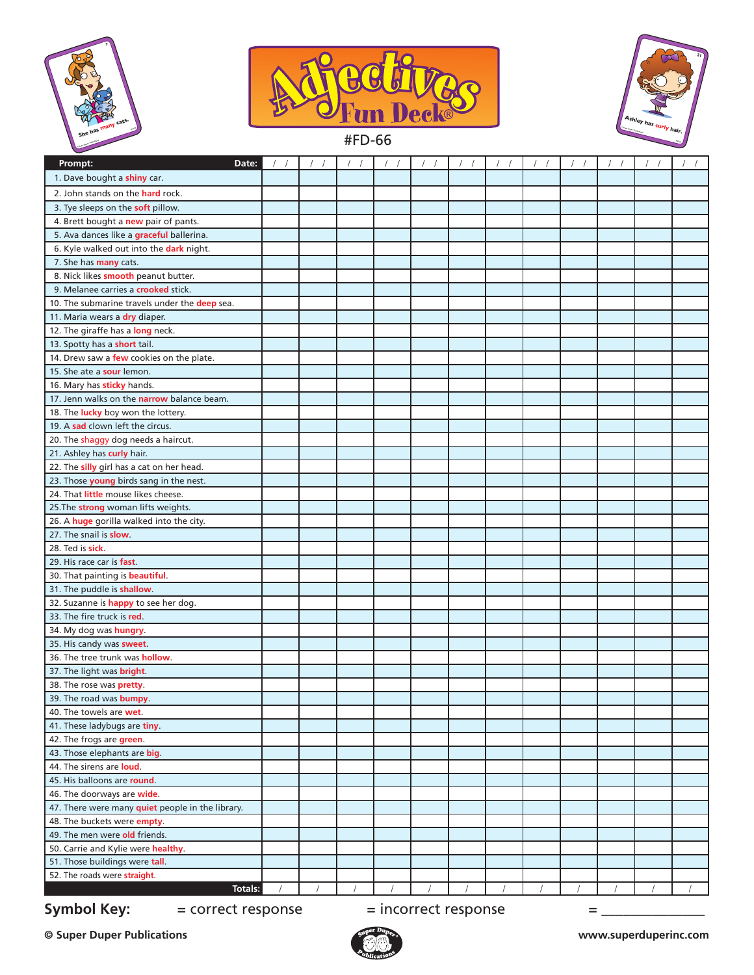





#FD-66

| Prompt:<br>Date:                                                                |  |  | $\prime$ |  |  |  | $\left  \right $ |  |  |  |
|---------------------------------------------------------------------------------|--|--|----------|--|--|--|------------------|--|--|--|
| 1. Dave bought a shiny car.                                                     |  |  |          |  |  |  |                  |  |  |  |
| 2. John stands on the hard rock.                                                |  |  |          |  |  |  |                  |  |  |  |
| 3. Tye sleeps on the soft pillow.                                               |  |  |          |  |  |  |                  |  |  |  |
| 4. Brett bought a new pair of pants.                                            |  |  |          |  |  |  |                  |  |  |  |
| 5. Ava dances like a graceful ballerina.                                        |  |  |          |  |  |  |                  |  |  |  |
| 6. Kyle walked out into the dark night.                                         |  |  |          |  |  |  |                  |  |  |  |
| 7. She has many cats.                                                           |  |  |          |  |  |  |                  |  |  |  |
| 8. Nick likes smooth peanut butter.                                             |  |  |          |  |  |  |                  |  |  |  |
| 9. Melanee carries a <b>crooked</b> stick.                                      |  |  |          |  |  |  |                  |  |  |  |
| 10. The submarine travels under the deep sea.                                   |  |  |          |  |  |  |                  |  |  |  |
| 11. Maria wears a dry diaper.                                                   |  |  |          |  |  |  |                  |  |  |  |
| 12. The giraffe has a long neck.                                                |  |  |          |  |  |  |                  |  |  |  |
| 13. Spotty has a short tail.                                                    |  |  |          |  |  |  |                  |  |  |  |
| 14. Drew saw a few cookies on the plate.                                        |  |  |          |  |  |  |                  |  |  |  |
| 15. She ate a sour lemon.                                                       |  |  |          |  |  |  |                  |  |  |  |
| 16. Mary has sticky hands.                                                      |  |  |          |  |  |  |                  |  |  |  |
| 17. Jenn walks on the narrow balance beam.                                      |  |  |          |  |  |  |                  |  |  |  |
| 18. The lucky boy won the lottery.                                              |  |  |          |  |  |  |                  |  |  |  |
| 19. A sad clown left the circus.                                                |  |  |          |  |  |  |                  |  |  |  |
| 20. The shaggy dog needs a haircut.                                             |  |  |          |  |  |  |                  |  |  |  |
| 21. Ashley has curly hair.                                                      |  |  |          |  |  |  |                  |  |  |  |
| 22. The silly girl has a cat on her head.                                       |  |  |          |  |  |  |                  |  |  |  |
| 23. Those young birds sang in the nest.                                         |  |  |          |  |  |  |                  |  |  |  |
| 24. That little mouse likes cheese.                                             |  |  |          |  |  |  |                  |  |  |  |
| 25. The strong woman lifts weights.                                             |  |  |          |  |  |  |                  |  |  |  |
| 26. A huge gorilla walked into the city.                                        |  |  |          |  |  |  |                  |  |  |  |
| 27. The snail is slow.                                                          |  |  |          |  |  |  |                  |  |  |  |
| 28. Ted is sick.                                                                |  |  |          |  |  |  |                  |  |  |  |
| 29. His race car is fast.                                                       |  |  |          |  |  |  |                  |  |  |  |
| 30. That painting is beautiful.                                                 |  |  |          |  |  |  |                  |  |  |  |
| 31. The puddle is shallow.                                                      |  |  |          |  |  |  |                  |  |  |  |
| 32. Suzanne is happy to see her dog.                                            |  |  |          |  |  |  |                  |  |  |  |
| 33. The fire truck is red.                                                      |  |  |          |  |  |  |                  |  |  |  |
| 34. My dog was hungry.                                                          |  |  |          |  |  |  |                  |  |  |  |
| 35. His candy was sweet.                                                        |  |  |          |  |  |  |                  |  |  |  |
| 36. The tree trunk was hollow.                                                  |  |  |          |  |  |  |                  |  |  |  |
| 37. The light was <b>bright</b> .                                               |  |  |          |  |  |  |                  |  |  |  |
| 38. The rose was <b>pretty</b> .                                                |  |  |          |  |  |  |                  |  |  |  |
| 39. The road was <b>bumpy</b> .                                                 |  |  |          |  |  |  |                  |  |  |  |
| 40. The towels are wet.                                                         |  |  |          |  |  |  |                  |  |  |  |
| 41. These ladybugs are tiny.                                                    |  |  |          |  |  |  |                  |  |  |  |
| 42. The frogs are green.                                                        |  |  |          |  |  |  |                  |  |  |  |
| 43. Those elephants are big.                                                    |  |  |          |  |  |  |                  |  |  |  |
| 44. The sirens are loud.<br>45. His balloons are round.                         |  |  |          |  |  |  |                  |  |  |  |
|                                                                                 |  |  |          |  |  |  |                  |  |  |  |
| 46. The doorways are <b>wide</b> .                                              |  |  |          |  |  |  |                  |  |  |  |
| 47. There were many quiet people in the library.<br>48. The buckets were empty. |  |  |          |  |  |  |                  |  |  |  |
| 49. The men were old friends.                                                   |  |  |          |  |  |  |                  |  |  |  |
| 50. Carrie and Kylie were healthy.                                              |  |  |          |  |  |  |                  |  |  |  |
| 51. Those buildings were tall.                                                  |  |  |          |  |  |  |                  |  |  |  |
| 52. The roads were straight.                                                    |  |  |          |  |  |  |                  |  |  |  |
| Totals:                                                                         |  |  |          |  |  |  |                  |  |  |  |
|                                                                                 |  |  |          |  |  |  |                  |  |  |  |
| <b>Symbol Key:</b><br>$=$ incorrect response<br>= correct response<br>=         |  |  |          |  |  |  |                  |  |  |  |

**© Super Duper Publications www.superduperinc.com**